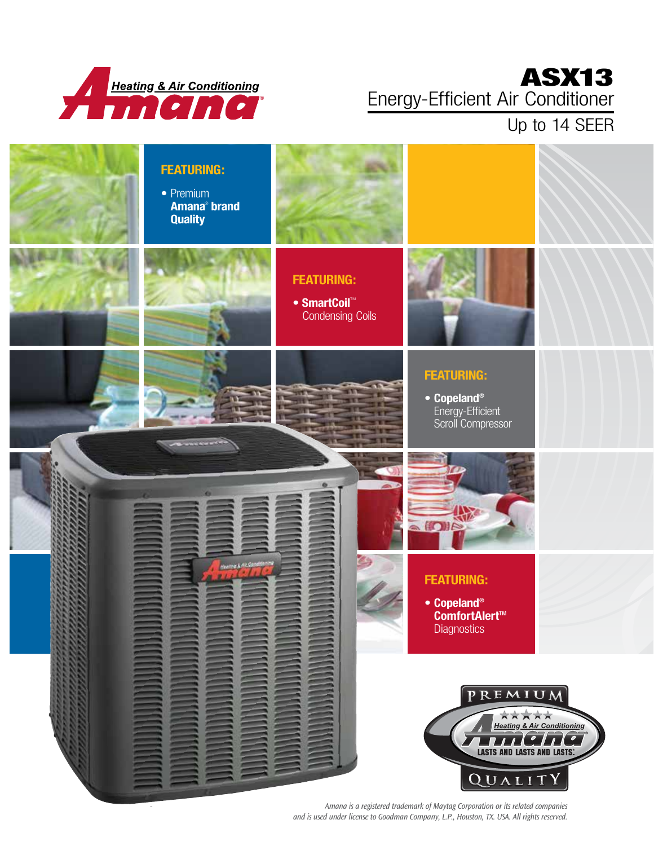

## ASX13 Energy-Efficient Air Conditioner

### Up to 14 SEER



*Amana is a registered trademark of Maytag Corporation or its related companies and is used under license to Goodman Company, L.P., Houston, TX. USA. All rights reserved.*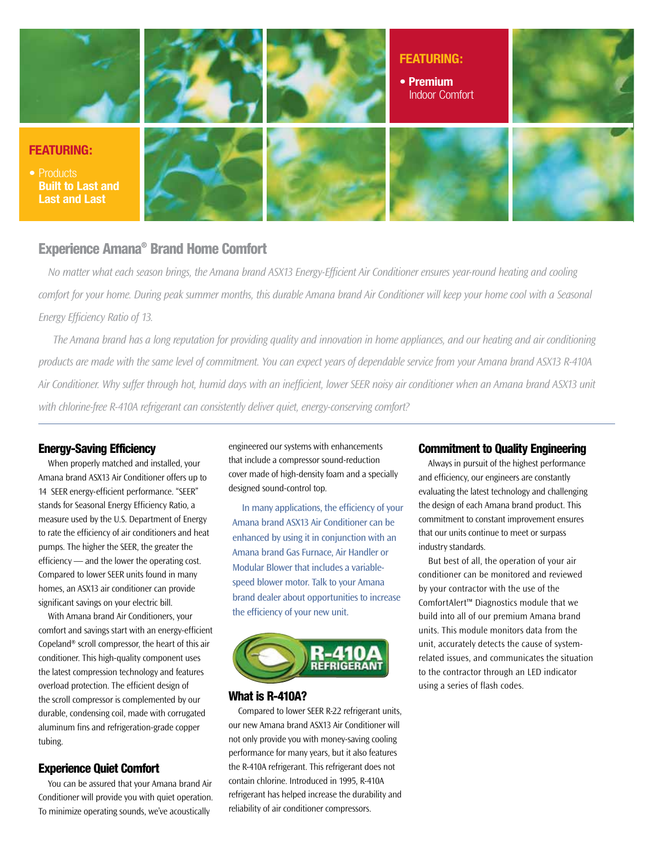

#### Experience Amana® Brand Home Comfort

*No matter what each season brings, the Amana brand ASX13 Energy-Efficient Air Conditioner ensures year-round heating and cooling comfort for your home. During peak summer months, this durable Amana brand Air Conditioner will keep your home cool with a Seasonal Energy Efficiency Ratio of 13.* 

*The Amana brand has a long reputation for providing quality and innovation in home appliances, and our heating and air conditioning products are made with the same level of commitment. You can expect years of dependable service from your Amana brand ASX13 R-410A Air Conditioner. Why suffer through hot, humid days with an inefficient, lower SEER noisy air conditioner when an Amana brand ASX13 unit with chlorine-free R-410A refrigerant can consistently deliver quiet, energy-conserving comfort?*

#### Energy-Saving Efficiency

When properly matched and installed, your Amana brand ASX13 Air Conditioner offers up to 14 SEER energy-efficient performance. "SEER" stands for Seasonal Energy Efficiency Ratio, a measure used by the U.S. Department of Energy to rate the efficiency of air conditioners and heat pumps. The higher the SEER, the greater the efficiency — and the lower the operating cost. Compared to lower SEER units found in many homes, an ASX13 air conditioner can provide significant savings on your electric bill.

With Amana brand Air Conditioners, your comfort and savings start with an energy-efficient Copeland® scroll compressor, the heart of this air conditioner. This high-quality component uses the latest compression technology and features overload protection. The efficient design of the scroll compressor is complemented by our durable, condensing coil, made with corrugated aluminum fins and refrigeration-grade copper tubing.

#### Experience Quiet Comfort

You can be assured that your Amana brand Air Conditioner will provide you with quiet operation. To minimize operating sounds, we've acoustically

engineered our systems with enhancements that include a compressor sound-reduction cover made of high-density foam and a specially designed sound-control top.

In many applications, the efficiency of your Amana brand ASX13 Air Conditioner can be enhanced by using it in conjunction with an Amana brand Gas Furnace, Air Handler or Modular Blower that includes a variablespeed blower motor. Talk to your Amana brand dealer about opportunities to increase the efficiency of your new unit.



#### What is R-410A?

Compared to lower SEER R-22 refrigerant units, our new Amana brand ASX13 Air Conditioner will not only provide you with money-saving cooling performance for many years, but it also features the R-410A refrigerant. This refrigerant does not contain chlorine. Introduced in 1995, R-410A refrigerant has helped increase the durability and reliability of air conditioner compressors.

#### Commitment to Quality Engineering

Always in pursuit of the highest performance and efficiency, our engineers are constantly evaluating the latest technology and challenging the design of each Amana brand product. This commitment to constant improvement ensures that our units continue to meet or surpass industry standards.

But best of all, the operation of your air conditioner can be monitored and reviewed by your contractor with the use of the ComfortAlert™ Diagnostics module that we build into all of our premium Amana brand units. This module monitors data from the unit, accurately detects the cause of systemrelated issues, and communicates the situation to the contractor through an LED indicator using a series of flash codes.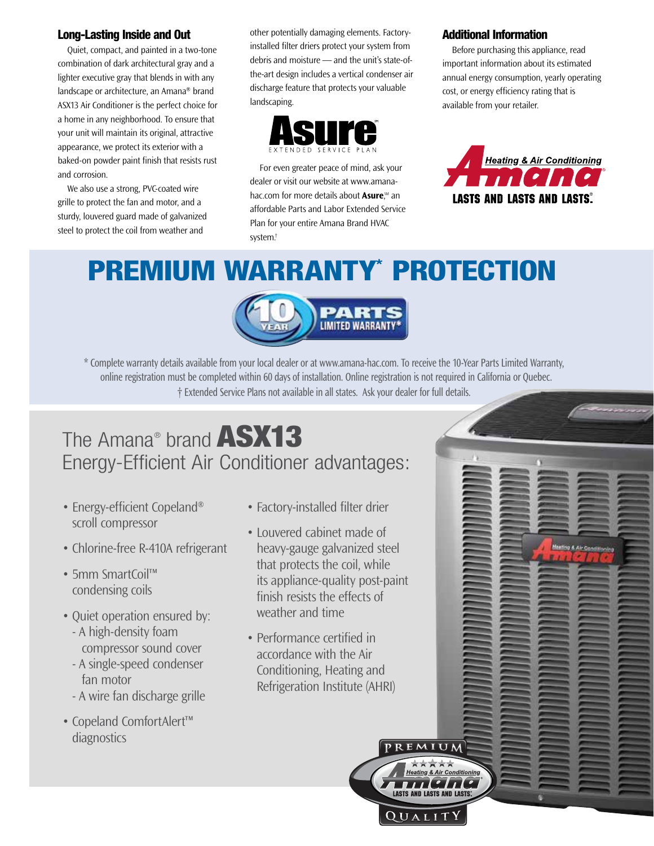#### Long-Lasting Inside and Out

Quiet, compact, and painted in a two-tone combination of dark architectural gray and a lighter executive gray that blends in with any landscape or architecture, an Amana® brand ASX13 Air Conditioner is the perfect choice for a home in any neighborhood. To ensure that your unit will maintain its original, attractive appearance, we protect its exterior with a baked-on powder paint finish that resists rust and corrosion.

We also use a strong, PVC-coated wire grille to protect the fan and motor, and a sturdy, louvered guard made of galvanized steel to protect the coil from weather and

other potentially damaging elements. Factoryinstalled filter driers protect your system from debris and moisture — and the unit's state-ofthe-art design includes a vertical condenser air discharge feature that protects your valuable landscaping.



For even greater peace of mind, ask your dealer or visit our website at www.amanahac.com for more details about **Asure**," an affordable Parts and Labor Extended Service Plan for your entire Amana Brand HVAC system.†

#### Additional Information

Before purchasing this appliance, read important information about its estimated annual energy consumption, yearly operating cost, or energy efficiency rating that is available from your retailer.



Ming & Air Coast

# PREMIUM WARRANTY\* PROTECTION



\* Complete warranty details available from your local dealer or at www.amana-hac.com. To receive the 10-Year Parts Limited Warranty, online registration must be completed within 60 days of installation. Online registration is not required in California or Quebec. † Extended Service Plans not available in all states. Ask your dealer for full details.

## The Amana® brand ASX13 Energy-Efficient Air Conditioner advantages:

- Energy-efficient Copeland<sup>®</sup> scroll compressor
- Chlorine-free R-410A refrigerant
- 5mm SmartCoil™ condensing coils
- Quiet operation ensured by: - A high-density foam compressor sound cover
- A single-speed condenser fan motor
- A wire fan discharge grille
- Copeland ComfortAlert™ diagnostics
- Factory-installed filter drier
- Louvered cabinet made of heavy-gauge galvanized steel that protects the coil, while its appliance-quality post-paint finish resists the effects of weather and time
- Performance certified in accordance with the Air Conditioning, Heating and Refrigeration Institute (AHRI)



QUALI

REMIUM